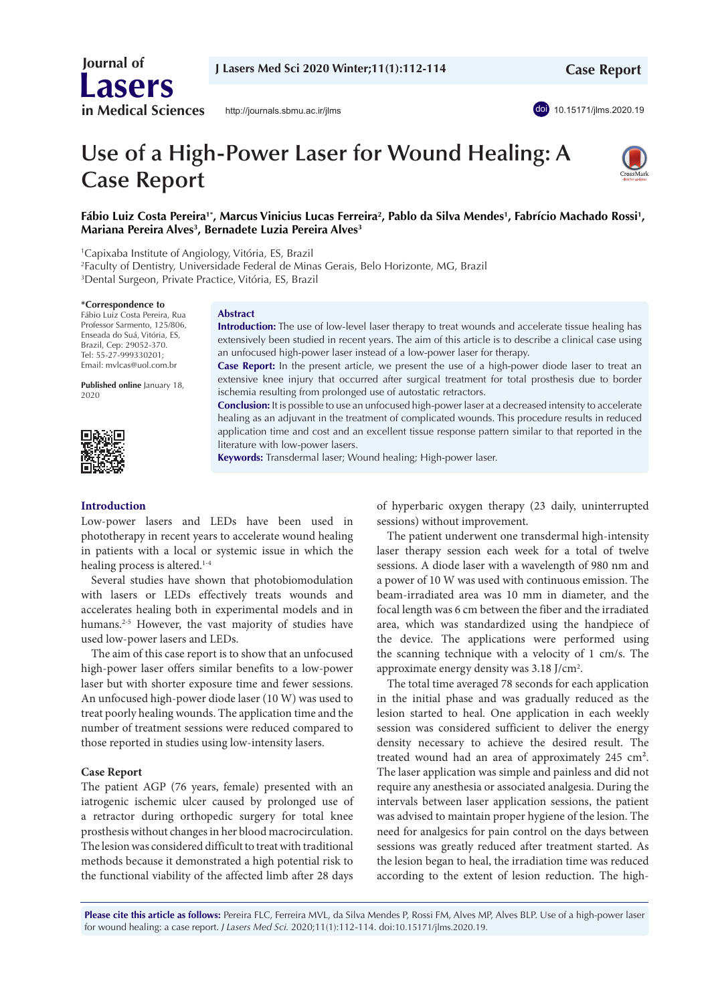

<http://journals.sbmu.ac.ir/jlms>



# **Use of a High-Power Laser for Wound Healing: A Case Report**



## Fábio Luiz Costa Pereira<sup>1</sup>\*, Marcus Vinicius Lucas Ferreira<sup>2</sup>, Pablo da Silva Mendes<sup>1</sup>, Fabrício Machado Rossi<sup>1</sup>, **Mariana Pereira Alves3 , Bernadete Luzia Pereira Alves3**

1 Capixaba Institute of Angiology, Vitória, ES, Brazil

2 Faculty of Dentistry, Universidade Federal de Minas Gerais, Belo Horizonte, MG, Brazil 3 Dental Surgeon, Private Practice, Vitória, ES, Brazil

#### **\*Correspondence to**

Fábio Luiz Costa Pereira, Rua Professor Sarmento, 125/806, Enseada do Suá, Vitória, ES, Brazil, Cep: 29052-370. Tel: 55-27-999330201; Email: mvlcas@uol.com.br

**Published online** January 18, 2020



#### **Abstract**

**Introduction:** The use of low-level laser therapy to treat wounds and accelerate tissue healing has extensively been studied in recent years. The aim of this article is to describe a clinical case using an unfocused high-power laser instead of a low-power laser for therapy.

**Case Report:** In the present article, we present the use of a high-power diode laser to treat an extensive knee injury that occurred after surgical treatment for total prosthesis due to border ischemia resulting from prolonged use of autostatic retractors.

**Conclusion:** It is possible to use an unfocused high-power laser at a decreased intensity to accelerate healing as an adjuvant in the treatment of complicated wounds. This procedure results in reduced application time and cost and an excellent tissue response pattern similar to that reported in the literature with low-power lasers.

**Keywords:** Transdermal laser; Wound healing; High-power laser.

## **Introduction**

Low-power lasers and LEDs have been used in phototherapy in recent years to accelerate wound healing in patients with a local or systemic issue in which the healing process is altered.<sup>1-4</sup>

Several studies have shown that photobiomodulation with lasers or LEDs effectively treats wounds and accelerates healing both in experimental models and in humans.<sup>2-5</sup> However, the vast majority of studies have used low-power lasers and LEDs.

The aim of this case report is to show that an unfocused high-power laser offers similar benefits to a low-power laser but with shorter exposure time and fewer sessions. An unfocused high-power diode laser (10 W) was used to treat poorly healing wounds. The application time and the number of treatment sessions were reduced compared to those reported in studies using low-intensity lasers.

#### **Case Report**

The patient AGP (76 years, female) presented with an iatrogenic ischemic ulcer caused by prolonged use of a retractor during orthopedic surgery for total knee prosthesis without changes in her blood macrocirculation. The lesion was considered difficult to treat with traditional methods because it demonstrated a high potential risk to the functional viability of the affected limb after 28 days

of hyperbaric oxygen therapy (23 daily, uninterrupted sessions) without improvement.

The patient underwent one transdermal high-intensity laser therapy session each week for a total of twelve sessions. A diode laser with a wavelength of 980 nm and a power of 10 W was used with continuous emission. The beam-irradiated area was 10 mm in diameter, and the focal length was 6 cm between the fiber and the irradiated area, which was standardized using the handpiece of the device. The applications were performed using the scanning technique with a velocity of 1 cm/s. The approximate energy density was 3.18 J/cm<sup>2</sup>.

The total time averaged 78 seconds for each application in the initial phase and was gradually reduced as the lesion started to heal. One application in each weekly session was considered sufficient to deliver the energy density necessary to achieve the desired result. The treated wound had an area of approximately 245 cm². The laser application was simple and painless and did not require any anesthesia or associated analgesia. During the intervals between laser application sessions, the patient was advised to maintain proper hygiene of the lesion. The need for analgesics for pain control on the days between sessions was greatly reduced after treatment started. As the lesion began to heal, the irradiation time was reduced according to the extent of lesion reduction. The high-

**Please cite this article as follows:** Pereira FLC, Ferreira MVL, da Silva Mendes P, Rossi FM, Alves MP, Alves BLP. Use of a high-power laser for wound healing: a case report. *J Lasers Med Sci.* 2020;11(1):112-114. doi:10.15171/jlms.2020.19.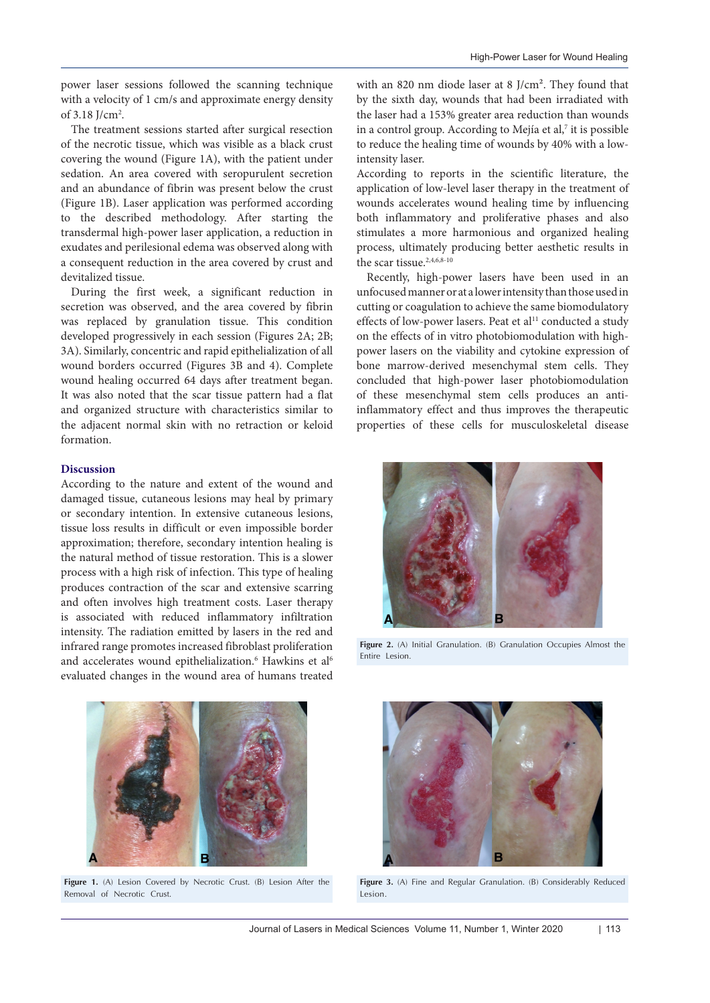power laser sessions followed the scanning technique with a velocity of 1 cm/s and approximate energy density of  $3.18$  J/cm<sup>2</sup>.

The treatment sessions started after surgical resection of the necrotic tissue, which was visible as a black crust covering the wound (Figure 1A), with the patient under sedation. An area covered with seropurulent secretion and an abundance of fibrin was present below the crust (Figure 1B). Laser application was performed according to the described methodology. After starting the transdermal high-power laser application, a reduction in exudates and perilesional edema was observed along with a consequent reduction in the area covered by crust and devitalized tissue.

During the first week, a significant reduction in secretion was observed, and the area covered by fibrin was replaced by granulation tissue. This condition developed progressively in each session (Figures 2A; 2B; 3A). Similarly, concentric and rapid epithelialization of all wound borders occurred (Figures 3B and 4). Complete wound healing occurred 64 days after treatment began. It was also noted that the scar tissue pattern had a flat and organized structure with characteristics similar to the adjacent normal skin with no retraction or keloid formation.

## **Discussion**

According to the nature and extent of the wound and damaged tissue, cutaneous lesions may heal by primary or secondary intention. In extensive cutaneous lesions, tissue loss results in difficult or even impossible border approximation; therefore, secondary intention healing is the natural method of tissue restoration. This is a slower process with a high risk of infection. This type of healing produces contraction of the scar and extensive scarring and often involves high treatment costs. Laser therapy is associated with reduced inflammatory infiltration intensity. The radiation emitted by lasers in the red and infrared range promotes increased fibroblast proliferation and accelerates wound epithelialization.<sup>6</sup> Hawkins et al<sup>6</sup> evaluated changes in the wound area of humans treated

by the sixth day, wounds that had been irradiated with the laser had a 153% greater area reduction than wounds in a control group. According to Mejía et al, $7$  it is possible to reduce the healing time of wounds by 40% with a lowintensity laser.

with an 820 nm diode laser at 8 J/cm². They found that

According to reports in the scientific literature, the application of low-level laser therapy in the treatment of wounds accelerates wound healing time by influencing both inflammatory and proliferative phases and also stimulates a more harmonious and organized healing process, ultimately producing better aesthetic results in the scar tissue.<sup>2,4,6,8-10</sup>

Recently, high-power lasers have been used in an unfocused manner or at a lower intensity than those used in cutting or coagulation to achieve the same biomodulatory effects of low-power lasers. Peat et al<sup>11</sup> conducted a study on the effects of in vitro photobiomodulation with highpower lasers on the viability and cytokine expression of bone marrow-derived mesenchymal stem cells. They concluded that high-power laser photobiomodulation of these mesenchymal stem cells produces an antiinflammatory effect and thus improves the therapeutic properties of these cells for musculoskeletal disease



**Figure 2.** (A) Initial Granulation. (B) Granulation Occupies Almost the Entire Lesion.



**Figure 1.** (A) Lesion Covered by Necrotic Crust. (B) Lesion After the Removal of Necrotic Crust.



**Figure 3.** (A) Fine and Regular Granulation. (B) Considerably Reduced Lesion.